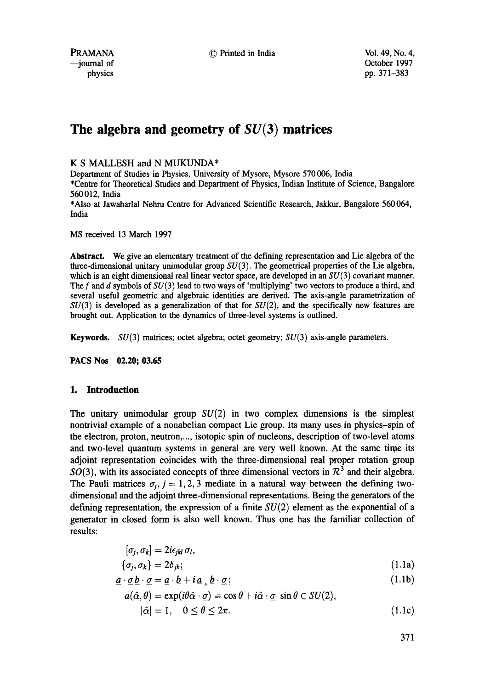PRAMANA © Printed in India Vol. 49, No. 4,

# **The algebra and geometry of SU(3) matrices**

K S MALLESH and N MUKUNDA\*

Department of Studies in Physics, University of Mysore, Mysore 570 006, India

\*Centre for Theoretical Studies and Department of Physics, Indian Institute of Science, Bangalore 560012, India

\*Also at Jawaharlal Nehru Centre for Advanced Scientific Research, Jakkur, Bangalore 560 064, India

MS received 13 March 1997

**Abstract.** We give an elementary treatment of the defining representation and Lie algebra of the three-dimensional unitary unimodular group  $SU(3)$ . The geometrical properties of the Lie algebra, which is an eight dimensional real linear vector space, are developed in an  $SU(3)$  covariant manner. The f and d symbols of  $SU(3)$  lead to two ways of 'multiplying' two vectors to produce a third, and several useful geometric and algebraic identifies are derived. The axis-angle parametrizafion of  $SU(3)$  is developed as a generalization of that for  $SU(2)$ , and the specifically new features are brought out. Application to the dynamics of three-level systems is outlined.

**Keywords.** SU(3) matrices; octet algebra; octet geometry; SU(3) axis-angle parameters.

**PACS Nos 02.20; 03.65** 

# **1. Introduction**

The unitary unimodular group  $SU(2)$  in two complex dimensions is the simplest nontrivial example of a nonabelian compact Lie group. Its many uses in physics-spin of the electron, proton, neutron,..., isotopic spin of nucleons, description of two-level atoms and two-level quantum systems in general are very well known. At the same time its adjoint representation coincides with the three-dimensional real proper rotation group  $SO(3)$ , with its associated concepts of three dimensional vectors in  $\mathcal{R}^3$  and their algebra. The Pauli matrices  $\sigma_i$ ,  $j = 1, 2, 3$  mediate in a natural way between the defining twodimensional and the adjoint three-dimensional representations. Being the generators of the defining representation, the expression of a finite  $SU(2)$  element as the exponential of a generator in closed form is also well known. Thus one has the familiar collection of results:

$$
[\sigma_j, \sigma_k] = 2i\epsilon_{jkl}\,\sigma_l,
$$
  
\n
$$
\{\sigma_j, \sigma_k\} = 2\delta_{jk};
$$
\n(1.1a)

$$
\underline{a} \cdot \underline{\sigma} \underline{b} \cdot \underline{\sigma} = \underline{a} \cdot \underline{b} + i \underline{a} \, \underline{b} \cdot \underline{\sigma};\tag{1.1b}
$$

$$
a(\hat{\alpha}, \theta) = \exp(i\theta \hat{\alpha} \cdot \underline{\sigma}) = \cos \theta + i\hat{\alpha} \cdot \underline{\sigma} \sin \theta \in SU(2),
$$
  
 
$$
|\hat{\alpha}| = 1, \quad 0 \le \theta \le 2\pi.
$$
 (1.1c)

371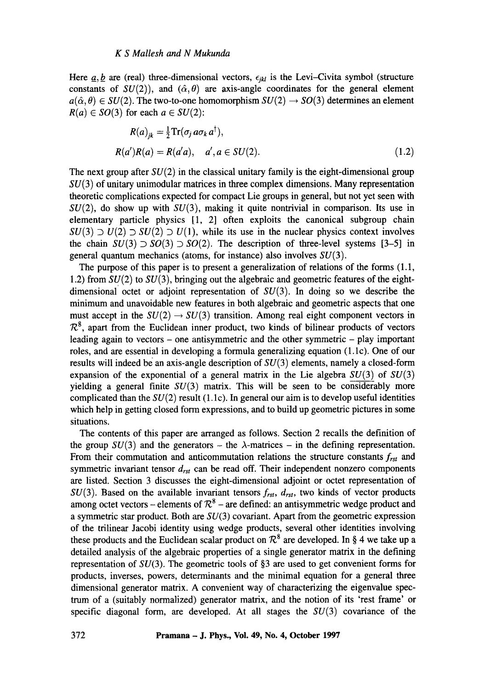Here  $a, b$  are (real) three-dimensional vectors,  $\epsilon_{ikl}$  is the Levi-Civita symbol (structure constants of  $SU(2)$ , and  $(\hat{\alpha}, \theta)$  are axis-angle coordinates for the general element  $a(\hat{\alpha}, \theta) \in SU(2)$ . The two-to-one homomorphism  $SU(2) \rightarrow SO(3)$  determines an element  $R(a) \in SO(3)$  for each  $a \in SU(2)$ :

$$
R(a)_{jk} = \frac{1}{2} \text{Tr}(\sigma_j a \sigma_k a^{\dagger}),
$$
  
\n
$$
R(a')R(a) = R(a'a), \quad a', a \in SU(2).
$$
 (1.2)

The next group after  $SU(2)$  in the classical unitary family is the eight-dimensional group  $SU(3)$  of unitary unimodular matrices in three complex dimensions. Many representation theoretic complications expected for compact Lie groups in general, but not yet seen with  $SU(2)$ , do show up with  $SU(3)$ , making it quite nontrivial in comparison. Its use in elementary particle physics [1, 2] often exploits the canonical subgroup chain  $SU(3) \supset U(2) \supset SU(2) \supset U(1)$ , while its use in the nuclear physics context involves the chain  $SU(3) \supset SO(3) \supset SO(2)$ . The description of three-level systems [3-5] in general quantum mechanics (atoms, for instance) also involves  $SU(3)$ .

The purpose of this paper is to present a generalization of relations of the forms (1.1, 1.2) from  $SU(2)$  to  $SU(3)$ , bringing out the algebraic and geometric features of the eightdimensional octet or adjoint representation of  $SU(3)$ . In doing so we describe the minimum and unavoidable new features in both algebraic and geometric aspects that one must accept in the  $SU(2) \rightarrow SU(3)$  transition. Among real eight component vectors in  $\mathcal{R}^8$ , apart from the Euclidean inner product, two kinds of bilinear products of vectors leading again to vectors  $-$  one antisymmetric and the other symmetric  $-$  play important roles, and are essential in developing a formula generalizing equation  $(1.1c)$ . One of our results will indeed be an axis-angle description of  $SU(3)$  elements, namely a closed-form expansion of the exponential of a general matrix in the Lie algebra  $SU(3)$  of  $SU(3)$ yielding a general finite  $SU(3)$  matrix. This will be seen to be considerably more complicated than the  $SU(2)$  result (1.1c). In general our aim is to develop useful identities which help in getting closed form expressions, and to build up geometric pictures in some situations.

The contents of this paper are arranged as follows. Section 2 recalls the definition of the group  $SU(3)$  and the generators – the  $\lambda$ -matrices – in the defining representation. From their commutation and anticommutation relations the structure constants *frst and*  symmetric invariant tensor  $d_{rst}$  can be read off. Their independent nonzero components are listed. Section 3 discusses the eight-dimensional adjoint or octet representation of  $SU(3)$ . Based on the available invariant tensors  $f_{rst}$ ,  $d_{rst}$ , two kinds of vector products among octet vectors – elements of  $\mathcal{R}^8$  – are defined: an antisymmetric wedge product and a symmetric star product. Both are  $SU(3)$  covariant. Apart from the geometric expression of the trilinear Jacobi identity using wedge products, several other identities involving these products and the Euclidean scalar product on  $\mathcal{R}^8$  are developed. In § 4 we take up a detailed analysis of the algebraic properties of a single generator matrix in the defining representation of  $SU(3)$ . The geometric tools of §3 are used to get convenient forms for products, inverses, powers, determinants and the minimal equation for a general three dimensional generator matrix. A convenient way of characterizing the eigenvalue spectrum of a (suitably normalized) generator matrix, and the notion of its 'rest frame' or specific diagonal form, are developed. At all stages the  $SU(3)$  covariance of the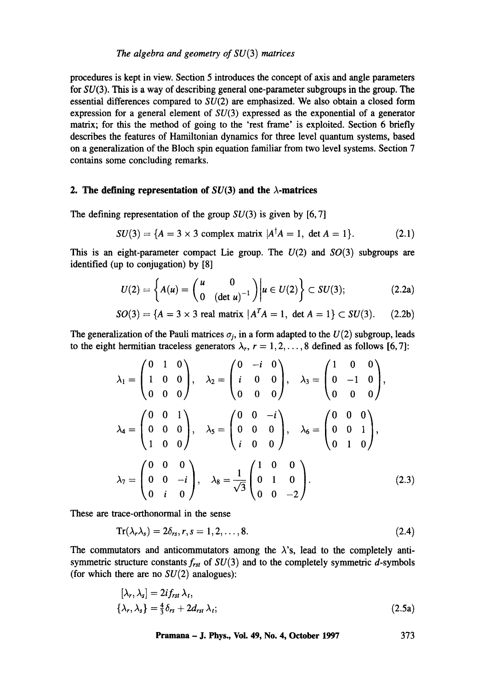procedures is kept in view. Section 5 introduces the concept of axis and angle parameters for  $SU(3)$ . This is a way of describing general one-parameter subgroups in the group. The essential differences compared to SU(2) are emphasized. We also obtain a closed form expression for a general element of  $SU(3)$  expressed as the exponential of a generator matrix; for this the method of going to the 'rest frame' is exploited. Section 6 briefly describes the features of Hamiltonian dynamics for three level quantum systems, based on a generalization of the Bloch spin equation familiar from two level systems. Section 7 contains some concluding remarks.

#### **2.** The defining representation of  $SU(3)$  and the  $\lambda$ -matrices

The defining representation of the group  $SU(3)$  is given by [6,7]

$$
SU(3) = \{A = 3 \times 3 \text{ complex matrix } |A^{\dagger}A = 1, \text{ det } A = 1\}. \tag{2.1}
$$

This is an eight-parameter compact Lie group. The  $U(2)$  and  $SO(3)$  subgroups are identified (up to conjugation) by [8]

$$
U(2) = \left\{ A(u) = \begin{pmatrix} u & 0 \\ 0 & (\det u)^{-1} \end{pmatrix} \middle| u \in U(2) \right\} \subset SU(3); \tag{2.2a}
$$

$$
SO(3) = \{A = 3 \times 3 \text{ real matrix } |A^T A = 1, \text{ det } A = 1\} \subset SU(3). \tag{2.2b}
$$

The generalization of the Pauli matrices  $\sigma_i$ , in a form adapted to the  $U(2)$  subgroup, leads to the eight hermitian traceless generators  $\lambda_r$ ,  $r = 1, 2, \ldots, 8$  defined as follows [6,7]:

$$
\lambda_1 = \begin{pmatrix} 0 & 1 & 0 \\ 1 & 0 & 0 \\ 0 & 0 & 0 \end{pmatrix}, \quad \lambda_2 = \begin{pmatrix} 0 & -i & 0 \\ i & 0 & 0 \\ 0 & 0 & 0 \end{pmatrix}, \quad \lambda_3 = \begin{pmatrix} 1 & 0 & 0 \\ 0 & -1 & 0 \\ 0 & 0 & 0 \end{pmatrix},
$$

$$
\lambda_4 = \begin{pmatrix} 0 & 0 & 1 \\ 0 & 0 & 0 \\ 1 & 0 & 0 \end{pmatrix}, \quad \lambda_5 = \begin{pmatrix} 0 & 0 & -i \\ 0 & 0 & 0 \\ i & 0 & 0 \end{pmatrix}, \quad \lambda_6 = \begin{pmatrix} 0 & 0 & 0 \\ 0 & 0 & 1 \\ 0 & 1 & 0 \end{pmatrix},
$$

$$
\lambda_7 = \begin{pmatrix} 0 & 0 & 0 \\ 0 & 0 & -i \\ 0 & i & 0 \end{pmatrix}, \quad \lambda_8 = \frac{1}{\sqrt{3}} \begin{pmatrix} 1 & 0 & 0 \\ 0 & 1 & 0 \\ 0 & 0 & -2 \end{pmatrix}.
$$
(2.3)

These are trace-orthonormal in the sense

$$
\operatorname{Tr}(\lambda_r \lambda_s) = 2\delta_{rs}, r, s = 1, 2, \dots, 8. \tag{2.4}
$$

The commutators and anticommutators among the  $\lambda$ 's, lead to the completely antisymmetric structure constants  $f_{rst}$  of  $SU(3)$  and to the completely symmetric  $d$ -symbols (for which there are no  $SU(2)$  analogues):

$$
[\lambda_r, \lambda_s] = 2if_{rst} \lambda_t, \{\lambda_r, \lambda_s\} = \frac{4}{3}\delta_{rs} + 2d_{rst} \lambda_t;
$$
\n(2.5a)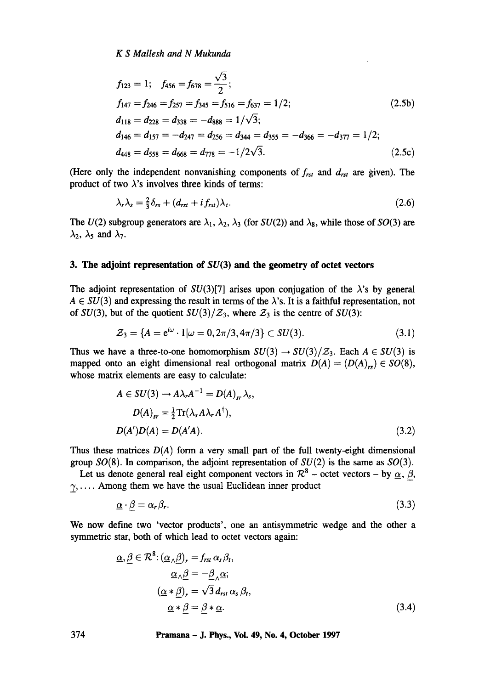$$
f_{123} = 1; \quad f_{456} = f_{678} = \frac{\sqrt{3}}{2};
$$
  
\n
$$
f_{147} = f_{246} = f_{257} = f_{345} = f_{516} = f_{637} = 1/2;
$$
  
\n
$$
d_{118} = d_{228} = d_{338} = -d_{888} = 1/\sqrt{3};
$$
  
\n
$$
d_{146} = d_{157} = -d_{247} = d_{256} = d_{344} = d_{355} = -d_{366} = -d_{377} = 1/2;
$$
  
\n
$$
d_{448} = d_{558} = d_{668} = d_{778} = -1/2\sqrt{3}.
$$
  
\n(2.5c)

(Here only the independent nonvanishing components of  $f_{rst}$  and  $d_{rst}$  are given). The product of two  $\lambda$ 's involves three kinds of terms:

$$
\lambda_r \lambda_s = \frac{2}{3} \delta_{rs} + (d_{rst} + i f_{rst}) \lambda_t. \tag{2.6}
$$

The  $U(2)$  subgroup generators are  $\lambda_1$ ,  $\lambda_2$ ,  $\lambda_3$  (for  $SU(2)$ ) and  $\lambda_8$ , while those of  $SO(3)$  are  $\lambda_2$ ,  $\lambda_5$  and  $\lambda_7$ .

# **3. The adjoint representation of SU(3) and the geometry of octet vectors**

The adjoint representation of  $SU(3)[7]$  arises upon conjugation of the  $\lambda$ 's by general  $A \in SU(3)$  and expressing the result in terms of the  $\lambda$ 's. It is a faithful representation, not of *SU(3)*, but of the quotient  $SU(3)/\mathcal{Z}_3$ , where  $\mathcal{Z}_3$  is the centre of *SU(3)*:

$$
\mathcal{Z}_3 = \{ A = e^{i\omega} \cdot 1 | \omega = 0, 2\pi/3, 4\pi/3 \} \subset SU(3). \tag{3.1}
$$

Thus we have a three-to-one homomorphism  $SU(3) \rightarrow SU(3)/\mathcal{Z}_3$ . Each  $A \in SU(3)$  is mapped onto an eight dimensional real orthogonal matrix  $D(A) = (D(A)<sub>rs</sub>) \in SO(8)$ , whose matrix elements are easy to calculate:

$$
A \in SU(3) \to A\lambda_r A^{-1} = D(A)_{sr} \lambda_s,
$$
  
\n
$$
D(A)_{sr} = \frac{1}{2} \text{Tr}(\lambda_s A \lambda_r A^{\dagger}),
$$
  
\n
$$
D(A')D(A) = D(A'A).
$$
\n(3.2)

Thus these matrices  $D(A)$  form a very small part of the full twenty-eight dimensional group  $SO(8)$ . In comparison, the adjoint representation of  $SU(2)$  is the same as  $SO(3)$ .

Let us denote general real eight component vectors in  $\mathcal{R}^8$  – octet vectors – by  $\alpha$ ,  $\beta$ ,  $\gamma, \ldots$ . Among them we have the usual Euclidean inner product

$$
\underline{\alpha} \cdot \beta = \alpha_r \beta_r. \tag{3.3}
$$

We now define two 'vector products', one an antisymmetric wedge and the other a symmetric star, both of which lead to octet vectors again:

$$
\underline{\alpha}, \underline{\beta} \in \mathcal{R}^{8}: (\underline{\alpha}_{\wedge} \underline{\beta})_{r} = f_{rst} \alpha_{s} \beta_{t},
$$
  
\n
$$
\underline{\alpha}_{\wedge} \underline{\beta} = -\underline{\beta}_{\wedge} \underline{\alpha};
$$
  
\n
$$
(\underline{\alpha} * \underline{\beta})_{r} = \sqrt{3} d_{rst} \alpha_{s} \beta_{t},
$$
  
\n
$$
\underline{\alpha} * \underline{\beta} = \underline{\beta} * \underline{\alpha}.
$$
\n(3.4)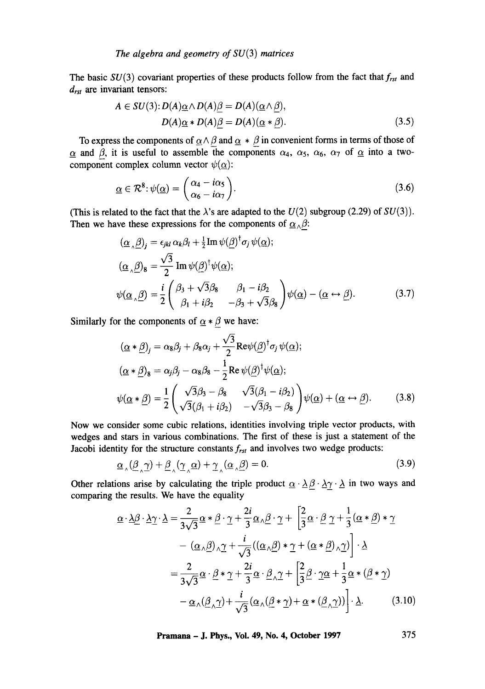The basic  $SU(3)$  covariant properties of these products follow from the fact that  $f_{rst}$  and *drst are* invariant tensors:

$$
A \in SU(3): D(A) \underline{\alpha} \wedge D(A) \underline{\beta} = D(A) (\underline{\alpha} \wedge \underline{\beta}),
$$
  
 
$$
D(A) \underline{\alpha} * D(A) \underline{\beta} = D(A) (\underline{\alpha} * \underline{\beta}).
$$
 (3.5)

To express the components of  $\alpha \wedge \beta$  and  $\alpha * \beta$  in convenient forms in terms of those of  $\alpha$  and  $\beta$ , it is useful to assemble the components  $\alpha_4$ ,  $\alpha_5$ ,  $\alpha_6$ ,  $\alpha_7$  of  $\alpha$  into a twocomponent complex column vector  $\psi(\alpha)$ :

$$
\underline{\alpha} \in \mathcal{R}^8 \colon \psi(\underline{\alpha}) = \begin{pmatrix} \alpha_4 - i\alpha_5 \\ \alpha_6 - i\alpha_7 \end{pmatrix} . \tag{3.6}
$$

(This is related to the fact that the  $\lambda$ 's are adapted to the  $U(2)$  subgroup (2.29) of  $SU(3)$ ). Then we have these expressions for the components of  $\alpha_{\Lambda}\beta$ :

$$
(\underline{\alpha}_{\wedge}\underline{\beta})_j = \epsilon_{jkl}\,\alpha_k\beta_l + \frac{1}{2}\mathrm{Im}\,\psi(\underline{\beta})^\dagger\sigma_j\,\psi(\underline{\alpha});
$$
  
\n
$$
(\underline{\alpha}_{\wedge}\underline{\beta})_8 = \frac{\sqrt{3}}{2}\mathrm{Im}\,\psi(\underline{\beta})^\dagger\psi(\underline{\alpha});
$$
  
\n
$$
\psi(\underline{\alpha}_{\wedge}\underline{\beta}) = \frac{i}{2}\begin{pmatrix}\beta_3 + \sqrt{3}\beta_8 & \beta_1 - i\beta_2\\ \beta_1 + i\beta_2 & -\beta_3 + \sqrt{3}\beta_8\end{pmatrix}\psi(\underline{\alpha}) - (\underline{\alpha} \leftrightarrow \underline{\beta}).
$$
\n(3.7)

Similarly for the components of  $\underline{\alpha} * \underline{\beta}$  we have:

$$
(\underline{\alpha} * \underline{\beta})_j = \alpha_8 \beta_j + \beta_8 \alpha_j + \frac{\sqrt{3}}{2} \text{Re} \psi(\underline{\beta})^\dagger \sigma_j \psi(\underline{\alpha});
$$
  
\n
$$
(\underline{\alpha} * \underline{\beta})_8 = \alpha_j \beta_j - \alpha_8 \beta_8 - \frac{1}{2} \text{Re} \psi(\underline{\beta})^\dagger \psi(\underline{\alpha});
$$
  
\n
$$
\psi(\underline{\alpha} * \underline{\beta}) = \frac{1}{2} \begin{pmatrix} \sqrt{3} \beta_3 - \beta_8 & \sqrt{3}(\beta_1 - i\beta_2) \\ \sqrt{3}(\beta_1 + i\beta_2) & -\sqrt{3} \beta_3 - \beta_8 \end{pmatrix} \psi(\underline{\alpha}) + (\underline{\alpha} \leftrightarrow \underline{\beta}).
$$
 (3.8)

Now we consider some cubic relations, identities involving triple vector products, with wedges and stars in various combinations. The first of these is just a statement of the Jacobi identity for the structure constants *frst* and involves two wedge products:

$$
\underline{\alpha}_{\wedge}(\underline{\beta}_{\wedge}\underline{\gamma}) + \underline{\beta}_{\wedge}(\underline{\gamma}_{\wedge}\underline{\alpha}) + \underline{\gamma}_{\wedge}(\underline{\alpha}_{\wedge}\underline{\beta}) = 0. \tag{3.9}
$$

Other relations arise by calculating the triple product  $\underline{\alpha} \cdot \underline{\lambda} \underline{\beta} \cdot \underline{\lambda} \gamma \cdot \underline{\lambda}$  in two ways and comparing the results. We have the equality

$$
\underline{\alpha} \cdot \underline{\lambda} \underline{\beta} \cdot \underline{\lambda} \underline{\gamma} \cdot \underline{\lambda} = \frac{2}{3\sqrt{3}} \underline{\alpha} * \underline{\beta} \cdot \underline{\gamma} + \frac{2i}{3} \underline{\alpha} \cdot \underline{\beta} \cdot \underline{\gamma} + \left[ \frac{2}{3} \underline{\alpha} \cdot \underline{\beta} \underline{\gamma} + \frac{1}{3} (\underline{\alpha} * \underline{\beta}) * \underline{\gamma} \right] \n- (\underline{\alpha} \cdot \underline{\beta}) \cdot \underline{\gamma} + \frac{i}{\sqrt{3}} ((\underline{\alpha} \cdot \underline{\beta}) * \underline{\gamma} + (\underline{\alpha} * \underline{\beta}) \cdot \underline{\gamma}) \Big] \cdot \underline{\lambda} \n= \frac{2}{3\sqrt{3}} \underline{\alpha} \cdot \underline{\beta} * \underline{\gamma} + \frac{2i}{3} \underline{\alpha} \cdot \underline{\beta} \cdot \underline{\gamma} + \left[ \frac{2}{3} \underline{\beta} \cdot \underline{\gamma} \underline{\alpha} + \frac{1}{3} \underline{\alpha} * (\underline{\beta} * \underline{\gamma}) \right] \n- \underline{\alpha} \cdot (\underline{\beta} \cdot \underline{\gamma}) + \frac{i}{\sqrt{3}} (\underline{\alpha} \cdot (\underline{\beta} * \underline{\gamma}) + \underline{\alpha} * (\underline{\beta} \cdot \underline{\gamma})) \Big] \cdot \underline{\lambda}.
$$
\n(3.10)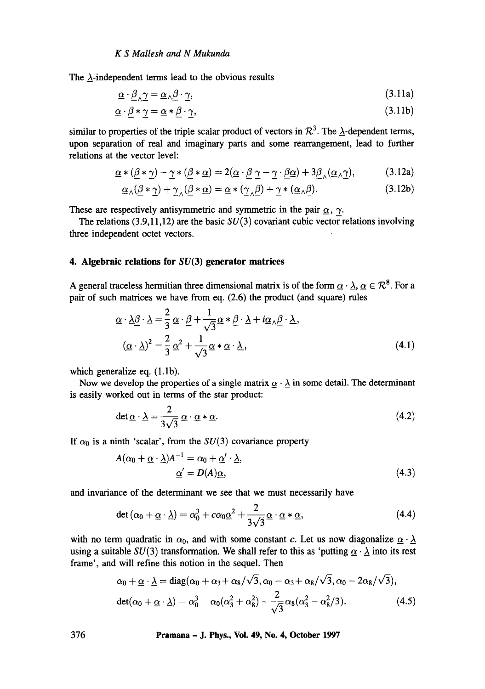The  $\lambda$ -independent terms lead to the obvious results

$$
\underline{\alpha} \cdot \beta_{\lambda} \gamma = \underline{\alpha}_{\lambda} \beta \cdot \gamma, \tag{3.11a}
$$

$$
\underline{\alpha} \cdot \underline{\beta} * \gamma = \underline{\alpha} * \underline{\beta} \cdot \gamma,\tag{3.11b}
$$

similar to properties of the triple scalar product of vectors in  $\mathcal{R}^3$ . The  $\Delta$ -dependent terms, upon separation of real and imaginary parts and some rearrangement, lead to further relations at the vector level:

$$
\underline{\alpha} * (\underline{\beta} * \underline{\gamma}) - \underline{\gamma} * (\underline{\beta} * \underline{\alpha}) = 2(\underline{\alpha} \cdot \underline{\beta} \underline{\gamma} - \underline{\gamma} \cdot \underline{\beta} \underline{\alpha}) + 3\underline{\beta}_{\wedge}(\underline{\alpha}_{\wedge} \underline{\gamma}),
$$
(3.12a)

$$
\underline{\alpha}_{\wedge}(\underline{\beta} * \underline{\gamma}) + \underline{\gamma}_{\wedge}(\underline{\beta} * \underline{\alpha}) = \underline{\alpha} * (\underline{\gamma}_{\wedge}\underline{\beta}) + \underline{\gamma} * (\underline{\alpha}_{\wedge}\underline{\beta}).
$$
\n(3.12b)

These are respectively antisymmetric and symmetric in the pair  $\alpha$ ,  $\gamma$ .

The relations (3.9,11,12) are the basic  $SU(3)$  covariant cubic vector relations involving three independent octet vectors.

## **4. Algebraic relations for SU(3) generator matrices**

A general traceless hermitian three dimensional matrix is of the form  $\underline{\alpha} \cdot \underline{\lambda}$ ,  $\underline{\alpha} \in \mathcal{R}^8$ . For a pair of such matrices we have from eq. (2.6) the product (and square) rules

$$
\underline{\alpha} \cdot \underline{\lambda} \underline{\beta} \cdot \underline{\lambda} = \frac{2}{3} \underline{\alpha} \cdot \underline{\beta} + \frac{1}{\sqrt{3}} \underline{\alpha} * \underline{\beta} \cdot \underline{\lambda} + i \underline{\alpha} \cdot \underline{\beta} \cdot \underline{\lambda},
$$
  

$$
(\underline{\alpha} \cdot \underline{\lambda})^2 = \frac{2}{3} \underline{\alpha}^2 + \frac{1}{\sqrt{3}} \underline{\alpha} * \underline{\alpha} \cdot \underline{\lambda},
$$
 (4.1)

which generalize eq.  $(1.1b)$ .

Now we develop the properties of a single matrix  $\alpha \cdot \lambda$  in some detail. The determinant is easily worked out in terms of the star product:

$$
\det \underline{\alpha} \cdot \underline{\lambda} = \frac{2}{3\sqrt{3}} \underline{\alpha} \cdot \underline{\alpha} * \underline{\alpha}.
$$
 (4.2)

If  $\alpha_0$  is a ninth 'scalar', from the  $SU(3)$  covariance property

$$
A(\alpha_0 + \underline{\alpha} \cdot \underline{\lambda})A^{-1} = \alpha_0 + \underline{\alpha}' \cdot \underline{\lambda},
$$
  

$$
\underline{\alpha}' = D(A)\underline{\alpha},
$$
 (4.3)

and invariance of the determinant we see that we must necessarily have

$$
\det\left(\alpha_0 + \underline{\alpha} \cdot \underline{\lambda}\right) = \alpha_0^3 + c\alpha_0 \underline{\alpha}^2 + \frac{2}{3\sqrt{3}} \underline{\alpha} \cdot \underline{\alpha} * \underline{\alpha},\tag{4.4}
$$

with no term quadratic in  $\alpha_0$ , and with some constant c. Let us now diagonalize  $\underline{\alpha} \cdot \underline{\lambda}$ using a suitable  $SU(3)$  transformation. We shall refer to this as 'putting  $\underline{\alpha} \cdot \underline{\lambda}$  into its rest frame', and will refine this notion in the sequel. Then

$$
\alpha_0 + \underline{\alpha} \cdot \underline{\lambda} = \text{diag}(\alpha_0 + \alpha_3 + \alpha_8/\sqrt{3}, \alpha_0 - \alpha_3 + \alpha_8/\sqrt{3}, \alpha_0 - 2\alpha_8/\sqrt{3}),
$$
  
\n
$$
\text{det}(\alpha_0 + \underline{\alpha} \cdot \underline{\lambda}) = \alpha_0^3 - \alpha_0(\alpha_3^2 + \alpha_8^2) + \frac{2}{\sqrt{3}}\alpha_8(\alpha_3^2 - \alpha_8^2/3). \tag{4.5}
$$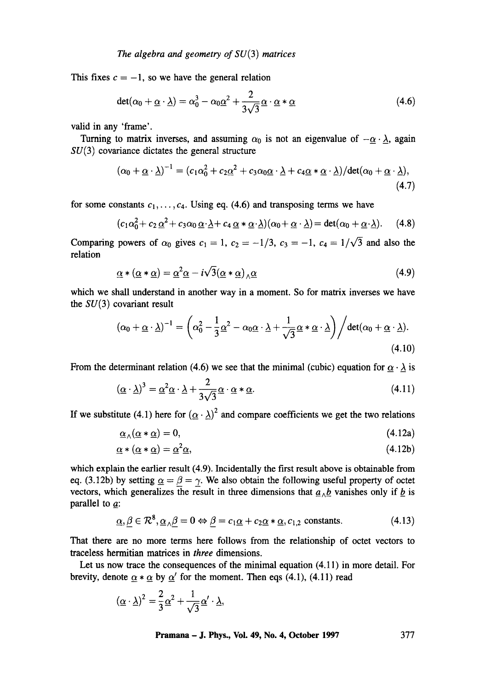This fixes  $c = -1$ , so we have the general relation

$$
det(\alpha_0 + \underline{\alpha} \cdot \underline{\lambda}) = \alpha_0^3 - \alpha_0 \underline{\alpha}^2 + \frac{2}{3\sqrt{3}} \underline{\alpha} \cdot \underline{\alpha} * \underline{\alpha}
$$
 (4.6)

valid in any 'frame'.

Turning to matrix inverses, and assuming  $\alpha_0$  is not an eigenvalue of  $-\alpha \cdot \lambda$ , again  $SU(3)$  covariance dictates the general structure

$$
(\alpha_0 + \underline{\alpha} \cdot \underline{\lambda})^{-1} = (c_1 \alpha_0^2 + c_2 \underline{\alpha}^2 + c_3 \alpha_0 \underline{\alpha} \cdot \underline{\lambda} + c_4 \underline{\alpha} * \underline{\alpha} \cdot \underline{\lambda}) / \det(\alpha_0 + \underline{\alpha} \cdot \underline{\lambda}),
$$
\n(4.7)

for some constants  $c_1, \ldots, c_4$ . Using eq. (4.6) and transposing terms we have

$$
(c_1\alpha_0^2 + c_2 \underline{\alpha}^2 + c_3\alpha_0 \underline{\alpha} \cdot \underline{\lambda} + c_4 \underline{\alpha} * \underline{\alpha} \cdot \underline{\lambda})(\alpha_0 + \underline{\alpha} \cdot \underline{\lambda}) = \det(\alpha_0 + \underline{\alpha} \cdot \underline{\lambda}). \tag{4.8}
$$

Comparing powers of  $\alpha_0$  gives  $c_1 = 1$ ,  $c_2 = -1/3$ ,  $c_3 = -1$ ,  $c_4 = 1/\sqrt{3}$  and also the relation

$$
\underline{\alpha} * (\underline{\alpha} * \underline{\alpha}) = \underline{\alpha}^2 \underline{\alpha} - i \sqrt{3} (\underline{\alpha} * \underline{\alpha})_{\wedge} \underline{\alpha}
$$
\n(4.9)

which we shall understand in another way in a moment. So for matrix inverses we have the  $SU(3)$  covariant result

$$
(\alpha_0 + \underline{\alpha} \cdot \underline{\lambda})^{-1} = \left( \alpha_0^2 - \frac{1}{3} \underline{\alpha}^2 - \alpha_0 \underline{\alpha} \cdot \underline{\lambda} + \frac{1}{\sqrt{3}} \underline{\alpha} * \underline{\alpha} \cdot \underline{\lambda} \right) / \det(\alpha_0 + \underline{\alpha} \cdot \underline{\lambda}).
$$
\n(4.10)

From the determinant relation (4.6) we see that the minimal (cubic) equation for  $\alpha \cdot \lambda$  is

$$
(\underline{\alpha} \cdot \underline{\lambda})^3 = \underline{\alpha}^2 \underline{\alpha} \cdot \underline{\lambda} + \frac{2}{3\sqrt{3}} \underline{\alpha} \cdot \underline{\alpha} * \underline{\alpha}.
$$
 (4.11)

If we substitute (4.1) here for  $(\alpha \cdot \lambda)^2$  and compare coefficients we get the two relations

$$
\underline{\alpha}_{\wedge}(\underline{\alpha} * \underline{\alpha}) = 0,\tag{4.12a}
$$

$$
\underline{\alpha} * (\underline{\alpha} * \underline{\alpha}) = \underline{\alpha}^2 \underline{\alpha},\tag{4.12b}
$$

which explain the earlier result (4.9). Incidentally the first result above is obtainable from eq. (3.12b) by setting  $\alpha = \beta = \gamma$ . We also obtain the following useful property of octet vectors, which generalizes the result in three dimensions that  $a_{\Lambda}b$  vanishes only if b is parallel to  $a$ :

$$
\underline{\alpha}, \underline{\beta} \in \mathcal{R}^8, \underline{\alpha}_{\wedge} \underline{\beta} = 0 \Leftrightarrow \underline{\beta} = c_1 \underline{\alpha} + c_2 \underline{\alpha} * \underline{\alpha}, c_{1,2} \text{ constants.}
$$
\n(4.13)

That there are no more terms here follows from the relationship of octet vectors to traceless hermitian matrices in *three* dimensions.

Let us now trace the consequences of the minimal equation (4.11) in more detail. For brevity, denote  $\underline{\alpha} * \underline{\alpha}$  by  $\underline{\alpha}'$  for the moment. Then eqs (4.1), (4.11) read

$$
(\underline{\alpha}\cdot \underline{\lambda})^2 = \frac{2}{3}\underline{\alpha}^2 + \frac{1}{\sqrt{3}}\underline{\alpha}' \cdot \underline{\lambda},
$$

**Pramana - J. Phys., Vol. 49, No. 4, October 1997 377**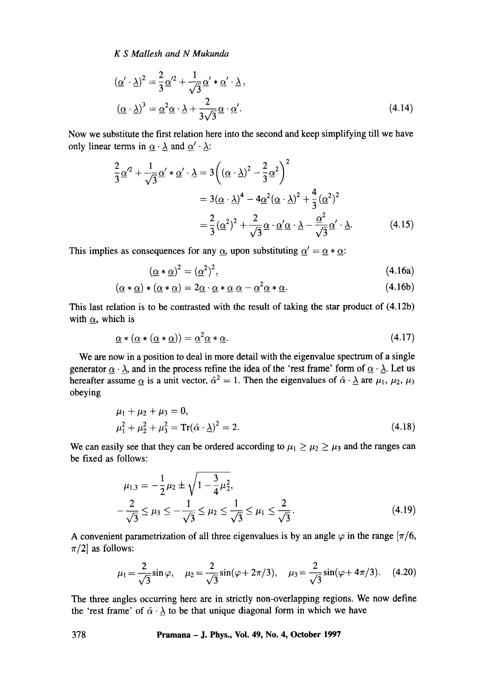$$
(\underline{\alpha}' \cdot \underline{\lambda})^2 = \frac{2}{3} \underline{\alpha}'^2 + \frac{1}{\sqrt{3}} \underline{\alpha}' * \underline{\alpha}' \cdot \underline{\lambda},
$$
  

$$
(\underline{\alpha} \cdot \underline{\lambda})^3 = \underline{\alpha}^2 \underline{\alpha} \cdot \underline{\lambda} + \frac{2}{3\sqrt{3}} \underline{\alpha} \cdot \underline{\alpha}'. \tag{4.14}
$$

Now we substitute the first relation here into the second and keep simplifying till we have only linear terms in  $\underline{\alpha} \cdot \underline{\lambda}$  and  $\underline{\alpha}' \cdot \underline{\lambda}$ :

$$
\frac{2}{3}\underline{\alpha}^2 + \frac{1}{\sqrt{3}}\underline{\alpha}' * \underline{\alpha}' \cdot \underline{\lambda} = 3\left((\underline{\alpha} \cdot \underline{\lambda})^2 - \frac{2}{3}\underline{\alpha}^2\right)^2
$$

$$
= 3(\underline{\alpha} \cdot \underline{\lambda})^4 - 4\underline{\alpha}^2(\underline{\alpha} \cdot \underline{\lambda})^2 + \frac{4}{3}(\underline{\alpha}^2)^2
$$

$$
= \frac{2}{3}(\underline{\alpha}^2)^2 + \frac{2}{\sqrt{3}}\underline{\alpha} \cdot \underline{\alpha}' \underline{\alpha} \cdot \underline{\lambda} - \frac{\underline{\alpha}^2}{\sqrt{3}}\underline{\alpha}' \cdot \underline{\lambda}.
$$
(4.15)

This implies as consequences for any  $\alpha$ , upon substituting  $\alpha' = \alpha * \alpha$ :

$$
(\underline{\alpha} * \underline{\alpha})^2 = (\underline{\alpha}^2)^2,\tag{4.16a}
$$

$$
(\underline{\alpha} * \underline{\alpha}) * (\underline{\alpha} * \underline{\alpha}) = 2\underline{\alpha} \cdot \underline{\alpha} * \underline{\alpha} \underline{\alpha} - \underline{\alpha}^2 \underline{\alpha} * \underline{\alpha}.
$$
 (4.16b)

This last relation is to be contrasted with the result of taking the star product of (4.12b) with  $\alpha$ , which is

$$
\underline{\alpha} * (\underline{\alpha} * (\underline{\alpha} * \underline{\alpha})) = \underline{\alpha}^2 \underline{\alpha} * \underline{\alpha}.
$$
\n(4.17)

We are now in a position to deal in more detail with the eigenvalue spectrum of a single generator  $\underline{\alpha} \cdot \underline{\lambda}$ , and in the process refine the idea of the 'rest frame' form of  $\underline{\alpha} \cdot \underline{\lambda}$ . Let us hereafter assume  $\alpha$  is a unit vector,  $\hat{\alpha}^2 = 1$ . Then the eigenvalues of  $\hat{\alpha} \cdot \hat{\lambda}$  are  $\mu_1, \mu_2, \mu_3$ obeying

$$
\mu_1 + \mu_2 + \mu_3 = 0,\n\mu_1^2 + \mu_2^2 + \mu_3^2 = \text{Tr}(\hat{\alpha} \cdot \underline{\lambda})^2 = 2.
$$
\n(4.18)

We can easily see that they can be ordered according to  $\mu_1 \ge \mu_2 \ge \mu_3$  and the ranges can be fixed as follows:

$$
\mu_{1,3} = -\frac{1}{2}\mu_2 \pm \sqrt{1 - \frac{3}{4}\mu_2^2},
$$
  

$$
-\frac{2}{\sqrt{3}} \le \mu_3 \le -\frac{1}{\sqrt{3}} \le \mu_2 \le \frac{1}{\sqrt{3}} \le \mu_1 \le \frac{2}{\sqrt{3}}.
$$
 (4.19)

A convenient parametrization of all three eigenvalues is by an angle  $\varphi$  in the range  $\pi/6$ ,  $\pi/2$ ] as follows:

$$
\mu_1 = \frac{2}{\sqrt{3}} \sin \varphi, \quad \mu_2 = \frac{2}{\sqrt{3}} \sin(\varphi + 2\pi/3), \quad \mu_3 = \frac{2}{\sqrt{3}} \sin(\varphi + 4\pi/3). \quad (4.20)
$$

The three angles occurring here are in strictly non-overlapping regions. We now define the 'rest frame' of  $\hat{\alpha} \cdot \lambda$  to be that unique diagonal form in which we have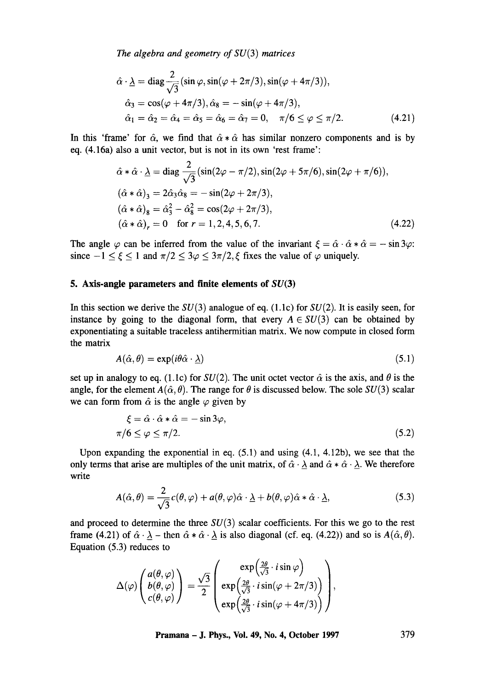$$
\hat{\alpha} \cdot \underline{\lambda} = \text{diag} \frac{2}{\sqrt{3}} (\sin \varphi, \sin(\varphi + 2\pi/3), \sin(\varphi + 4\pi/3)),
$$
  
\n
$$
\hat{\alpha}_3 = \cos(\varphi + 4\pi/3), \hat{\alpha}_8 = -\sin(\varphi + 4\pi/3),
$$
  
\n
$$
\hat{\alpha}_1 = \hat{\alpha}_2 = \hat{\alpha}_4 = \hat{\alpha}_5 = \hat{\alpha}_6 = \hat{\alpha}_7 = 0, \quad \pi/6 \le \varphi \le \pi/2.
$$
\n(4.21)

In this 'frame' for  $\hat{\alpha}$ , we find that  $\hat{\alpha} * \hat{\alpha}$  has similar nonzero components and is by eq. (4.16a) also a unit vector, but is not in its own 'rest frame':

$$
\hat{\alpha} * \hat{\alpha} \cdot \underline{\lambda} = \text{diag} \frac{2}{\sqrt{3}} (\sin(2\varphi - \pi/2), \sin(2\varphi + 5\pi/6), \sin(2\varphi + \pi/6)),
$$
  
\n
$$
(\hat{\alpha} * \hat{\alpha})_3 = 2\hat{\alpha}_3 \hat{\alpha}_8 = -\sin(2\varphi + 2\pi/3),
$$
  
\n
$$
(\hat{\alpha} * \hat{\alpha})_8 = \hat{\alpha}_3^2 - \hat{\alpha}_8^2 = \cos(2\varphi + 2\pi/3),
$$
  
\n
$$
(\hat{\alpha} * \hat{\alpha})_r = 0 \text{ for } r = 1, 2, 4, 5, 6, 7.
$$
 (4.22)

The angle  $\varphi$  can be inferred from the value of the invariant  $\xi = \hat{\alpha} \cdot \hat{\alpha} * \hat{\alpha} = -\sin 3\varphi$ : since  $-1 \le \xi \le 1$  and  $\pi/2 \le 3\varphi \le 3\pi/2$ ,  $\xi$  fixes the value of  $\varphi$  uniquely.

## **5. Axis-angle parameters and finite elements of SU(3)**

In this section we derive the  $SU(3)$  analogue of eq. (1.1c) for  $SU(2)$ . It is easily seen, for instance by going to the diagonal form, that every  $A \in SU(3)$  can be obtained by exponentiating a suitable traceless antihermitian matrix. We now compute in closed form the matrix

$$
A(\hat{\alpha}, \theta) = \exp(i\theta \hat{\alpha} \cdot \underline{\lambda}) \tag{5.1}
$$

set up in analogy to eq. (1.1c) for  $SU(2)$ . The unit octet vector  $\hat{\alpha}$  is the axis, and  $\theta$  is the angle, for the element  $A(\hat{\alpha}, \theta)$ . The range for  $\theta$  is discussed below. The sole  $SU(3)$  scalar we can form from  $\hat{\alpha}$  is the angle  $\varphi$  given by

$$
\xi = \hat{\alpha} \cdot \hat{\alpha} * \hat{\alpha} = -\sin 3\varphi,
$$
  
\n
$$
\pi/6 \le \varphi \le \pi/2.
$$
\n(5.2)

Upon expanding the exponential in eq. (5.1) and using (4.1, 4.12b), we see that the only terms that arise are multiples of the unit matrix, of  $\hat{\alpha} \cdot \lambda$  and  $\hat{\alpha} * \hat{\alpha} \cdot \lambda$ . We therefore write

$$
A(\hat{\alpha}, \theta) = \frac{2}{\sqrt{3}}c(\theta, \varphi) + a(\theta, \varphi)\hat{\alpha} \cdot \underline{\lambda} + b(\theta, \varphi)\hat{\alpha} * \hat{\alpha} \cdot \underline{\lambda},
$$
\n(5.3)

and proceed to determine the three  $SU(3)$  scalar coefficients. For this we go to the rest frame (4.21) of  $\hat{\alpha} \cdot \lambda$  – then  $\hat{\alpha} * \hat{\alpha} \cdot \lambda$  is also diagonal (cf. eq. (4.22)) and so is  $A(\hat{\alpha}, \theta)$ . Equation (5.3) reduces to

$$
\Delta(\varphi)\begin{pmatrix} a(\theta,\varphi) \\ b(\theta,\varphi) \\ c(\theta,\varphi) \end{pmatrix} = \frac{\sqrt{3}}{2} \begin{pmatrix} \exp\left(\frac{2\theta}{\sqrt{3}} \cdot i \sin \varphi\right) \\ \exp\left(\frac{2\theta}{\sqrt{3}} \cdot i \sin(\varphi + 2\pi/3)\right) \\ \exp\left(\frac{2\theta}{\sqrt{3}} \cdot i \sin(\varphi + 4\pi/3)\right) \end{pmatrix},
$$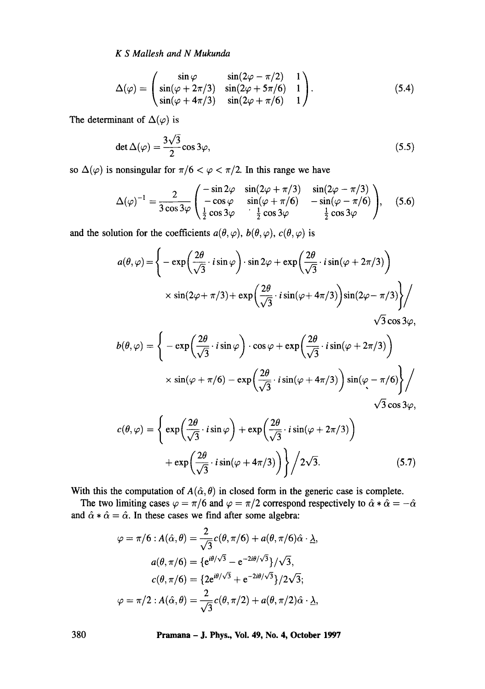$$
\Delta(\varphi) = \begin{pmatrix}\n\sin \varphi & \sin(2\varphi - \pi/2) & 1 \\
\sin(\varphi + 2\pi/3) & \sin(2\varphi + 5\pi/6) & 1 \\
\sin(\varphi + 4\pi/3) & \sin(2\varphi + \pi/6) & 1\n\end{pmatrix}.
$$
\n(5.4)

The determinant of  $\Delta(\varphi)$  is

$$
\det \Delta(\varphi) = \frac{3\sqrt{3}}{2}\cos 3\varphi,\tag{5.5}
$$

so  $\Delta(\varphi)$  is nonsingular for  $\pi/6 < \varphi < \pi/2$ . In this range we have

$$
\Delta(\varphi)^{-1} = \frac{2}{3\cos 3\varphi} \begin{pmatrix} -\sin 2\varphi & \sin(2\varphi + \pi/3) & \sin(2\varphi - \pi/3) \\ -\cos \varphi & \sin(\varphi + \pi/6) & -\sin(\varphi - \pi/6) \\ \frac{1}{2}\cos 3\varphi & \frac{1}{2}\cos 3\varphi & \frac{1}{2}\cos 3\varphi \end{pmatrix}, \quad (5.6)
$$

and the solution for the coefficients  $a(\theta, \varphi)$ ,  $b(\theta, \varphi)$ ,  $c(\theta, \varphi)$  is

$$
a(\theta,\varphi) = \left\{ -\exp\left(\frac{2\theta}{\sqrt{3}} \cdot i \sin \varphi\right) \cdot \sin 2\varphi + \exp\left(\frac{2\theta}{\sqrt{3}} \cdot i \sin(\varphi + 2\pi/3)\right) \times \sin(2\varphi + \pi/3) + \exp\left(\frac{2\theta}{\sqrt{3}} \cdot i \sin(\varphi + 4\pi/3)\right) \sin(2\varphi - \pi/3) \right\} / \frac{1}{\sqrt{3}}.
$$

 $\sqrt{3} \cos 3\varphi$ ,

$$
b(\theta,\varphi) = \left\{ -\exp\left(\frac{2\theta}{\sqrt{3}} \cdot i \sin \varphi\right) \cdot \cos \varphi + \exp\left(\frac{2\theta}{\sqrt{3}} \cdot i \sin(\varphi + 2\pi/3)\right) \times \sin(\varphi + \pi/6) - \exp\left(\frac{2\theta}{\sqrt{3}} \cdot i \sin(\varphi + 4\pi/3)\right) \sin(\varphi - \pi/6) \right\} / \sqrt{3} \cos 3\varphi,
$$

$$
c(\theta, \varphi) = \left\{ \exp\left(\frac{2\theta}{\sqrt{3}} \cdot i \sin \varphi\right) + \exp\left(\frac{2\theta}{\sqrt{3}} \cdot i \sin(\varphi + 2\pi/3)\right) + \exp\left(\frac{2\theta}{\sqrt{3}} \cdot i \sin(\varphi + 4\pi/3)\right) \right\} / 2\sqrt{3}.
$$
 (5.7)

With this the computation of  $A(\hat{\alpha}, \theta)$  in closed form in the generic case is complete.

The two limiting cases  $\varphi = \pi/6$  and  $\varphi = \pi/2$  correspond respectively to  $\hat{\alpha} * \hat{\alpha} = -\hat{\alpha}$ and  $\hat{\alpha} * \hat{\alpha} = \hat{\alpha}$ . In these cases we find after some algebra:

$$
\varphi = \pi/6 : A(\hat{\alpha}, \theta) = \frac{2}{\sqrt{3}} c(\theta, \pi/6) + a(\theta, \pi/6)\hat{\alpha} \cdot \underline{\lambda},
$$

$$
a(\theta, \pi/6) = \{e^{i\theta/\sqrt{3}} - e^{-2i\theta/\sqrt{3}}\}/\sqrt{3},
$$

$$
c(\theta, \pi/6) = \{2e^{i\theta/\sqrt{3}} + e^{-2i\theta/\sqrt{3}}\}/2\sqrt{3};
$$

$$
\varphi = \pi/2 : A(\hat{\alpha}, \theta) = \frac{2}{\sqrt{3}} c(\theta, \pi/2) + a(\theta, \pi/2)\hat{\alpha} \cdot \underline{\lambda},
$$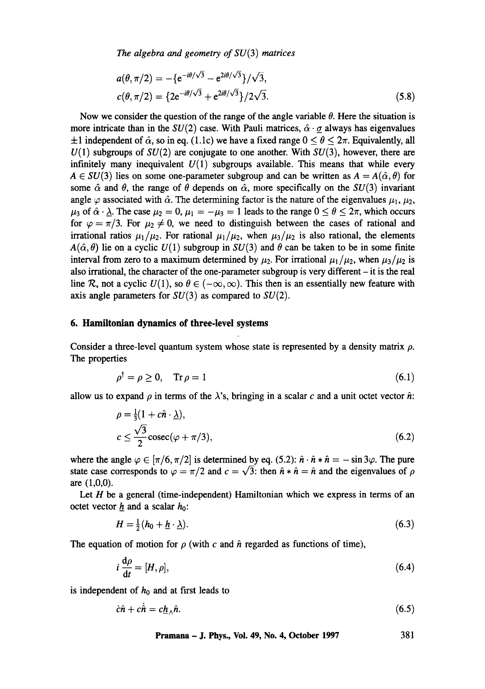$$
a(\theta, \pi/2) = -\{e^{-i\theta/\sqrt{3}} - e^{2i\theta/\sqrt{3}}\}/\sqrt{3},
$$
  
\n
$$
c(\theta, \pi/2) = \{2e^{-i\theta/\sqrt{3}} + e^{2i\theta/\sqrt{3}}\}/2\sqrt{3}.
$$
\n(5.8)

Now we consider the question of the range of the angle variable  $\theta$ . Here the situation is more intricate than in the  $SU(2)$  case. With Pauli matrices,  $\hat{\alpha} \cdot \hat{\alpha}$  always has eigenvalues  $\pm 1$  independent of  $\hat{\alpha}$ , so in eq. (1.1c) we have a fixed range  $0 \le \theta \le 2\pi$ . Equivalently, all  $U(1)$  subgroups of  $SU(2)$  are conjugate to one another. With  $SU(3)$ , however, there are infinitely many inequivalent  $U(1)$  subgroups available. This means that while every  $A \in SU(3)$  lies on some one-parameter subgroup and can be written as  $A = A(\hat{\alpha}, \theta)$  for some  $\hat{\alpha}$  and  $\theta$ , the range of  $\theta$  depends on  $\hat{\alpha}$ , more specifically on the SU(3) invariant angle  $\varphi$  associated with  $\hat{\alpha}$ . The determining factor is the nature of the eigenvalues  $\mu_1, \mu_2,$  $\mu_3$  of  $\hat{\alpha} \cdot \hat{\lambda}$ . The case  $\mu_2 = 0$ ,  $\mu_1 = -\mu_3 = 1$  leads to the range  $0 \le \theta \le 2\pi$ , which occurs for  $\varphi = \pi/3$ . For  $\mu_2 \neq 0$ , we need to distinguish between the cases of rational and irrational ratios  $\mu_1/\mu_2$ . For rational  $\mu_1/\mu_2$ , when  $\mu_3/\mu_2$  is also rational, the elements  $A(\hat{\alpha}, \theta)$  lie on a cyclic  $U(1)$  subgroup in  $SU(3)$  and  $\theta$  can be taken to be in some finite interval from zero to a maximum determined by  $\mu_2$ . For irrational  $\mu_1/\mu_2$ , when  $\mu_3/\mu_2$  is also irrational, the character of the one-parameter subgroup is very different  $-$  it is the real line R, not a cyclic  $U(1)$ , so  $\theta \in (-\infty, \infty)$ . This then is an essentially new feature with axis angle parameters for  $SU(3)$  as compared to  $SU(2)$ .

### **6. Hamiltonian dynamics of three-level systems**

Consider a three-level quantum system whose state is represented by a density matrix  $\rho$ . The properties

$$
\rho^{\dagger} = \rho \ge 0, \quad \text{Tr}\,\rho = 1 \tag{6.1}
$$

allow us to expand  $\rho$  in terms of the  $\lambda$ 's, bringing in a scalar c and a unit octet vector  $\hat{n}$ :

$$
\rho = \frac{1}{3}(1 + c\hat{n} \cdot \underline{\lambda}),
$$
  
\n
$$
c \le \frac{\sqrt{3}}{2}\operatorname{cosec}(\varphi + \pi/3),
$$
\n(6.2)

where the angle  $\varphi \in [\pi/6, \pi/2]$  is determined by eq. (5.2):  $\hat{n} \cdot \hat{n} \times \hat{n} = -\sin 3\varphi$ . The pure state case corresponds to  $\varphi = \pi/2$  and  $c = \sqrt{3}$ : then  $\hat{n} * \hat{n} = \hat{n}$  and the eigenvalues of  $\rho$ are (1,0,0).

Let  $H$  be a general (time-independent) Hamiltonian which we express in terms of an octet vector  $h$  and a scalar  $h_0$ :

$$
H = \frac{1}{2}(h_0 + \underline{h} \cdot \underline{\lambda}).\tag{6.3}
$$

The equation of motion for  $\rho$  (with c and  $\hat{n}$  regarded as functions of time),

$$
i\frac{\mathrm{d}\rho}{\mathrm{d}t} = [H,\rho],\tag{6.4}
$$

is independent of  $h_0$  and at first leads to

$$
\dot{c}\hat{n} + c\dot{\hat{n}} = c\underline{h}_{\wedge}\hat{n}.\tag{6.5}
$$

**Pramana - J. Phys., Vol. 49, No. 4, October 1997 381**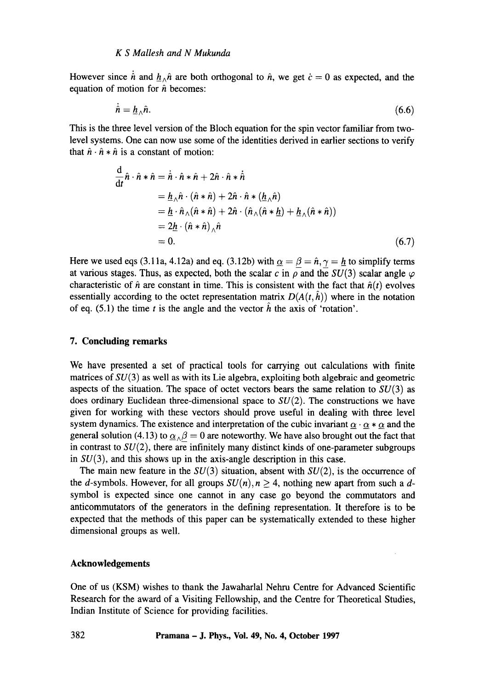However since  $\dot{\hat{n}}$  and  $\underline{h}_{\hat{n}}\hat{n}$  are both orthogonal to  $\hat{n}$ , we get  $\dot{c} = 0$  as expected, and the equation of motion for  $\hat{n}$  becomes:

$$
\dot{\hat{n}} = \underline{h}_{\wedge} \hat{n}.\tag{6.6}
$$

This is the three level version of the Bloch equation for the spin vector familiar from twolevel systems. One can now use some of the identities derived in earlier sections to verify that  $\hat{n} \cdot \hat{n} \times \hat{n}$  is a constant of motion:

$$
\frac{d}{dt}\hat{n}\cdot\hat{n}*\hat{n} = \dot{\hat{n}}\cdot\hat{n}*\hat{n} + 2\hat{n}\cdot\hat{n}*\dot{\hat{n}}
$$
\n
$$
= \underline{h}_{\wedge}\hat{n}\cdot(\hat{n}*\hat{n}) + 2\hat{n}\cdot\hat{n}*\left(\underline{h}_{\wedge}\hat{n}\right)
$$
\n
$$
= \underline{h}\cdot\hat{n}_{\wedge}(\hat{n}*\hat{n}) + 2\hat{n}\cdot\left(\hat{n}_{\wedge}(\hat{n}*\underline{h}) + \underline{h}_{\wedge}(\hat{n}*\hat{n})\right)
$$
\n
$$
= 2\underline{h}\cdot\left(\hat{n}*\hat{n}\right)_{\wedge}\hat{n}
$$
\n
$$
= 0.
$$
\n(6.7)

Here we used eqs (3.11a, 4.12a) and eq. (3.12b) with  $\alpha = \beta = \hat{n}, \gamma = h$  to simplify terms at various stages. Thus, as expected, both the scalar c in  $\rho$  and the  $SU(3)$  scalar angle  $\varphi$ characteristic of  $\hat{n}$  are constant in time. This is consistent with the fact that  $\hat{n}(t)$  evolves essentially according to the octet representation matrix  $D(A(t, \hat{h}))$  where in the notation of eq.  $(5.1)$  the time t is the angle and the vector h the axis of 'rotation'.

## **7. Concluding remarks**

We have presented a set of practical tools for carrying out calculations with finite matrices of  $SU(3)$  as well as with its Lie algebra, exploiting both algebraic and geometric aspects of the situation. The space of octet vectors bears the same relation to  $SU(3)$  as does ordinary Euclidean three-dimensional space to  $SU(2)$ . The constructions we have given for working with these vectors should prove useful in dealing with three level system dynamics. The existence and interpretation of the cubic invariant  $\alpha \cdot \alpha * \alpha$  and the general solution (4.13) to  $\underline{\alpha}_{\wedge}\beta = 0$  are noteworthy. We have also brought out the fact that in contrast to  $SU(2)$ , there are infinitely many distinct kinds of one-parameter subgroups in  $SU(3)$ , and this shows up in the axis-angle description in this case.

The main new feature in the  $SU(3)$  situation, absent with  $SU(2)$ , is the occurrence of the d-symbols. However, for all groups  $SU(n)$ ,  $n \geq 4$ , nothing new apart from such a dsymbol is expected since one cannot in any case go beyond the commutators and anticommutators of the generators in the defining representation. It therefore is to be expected that the methods of this paper can be systematically extended to these higher dimensional groups as well.

## **Acknowledgements**

One of us (KSM) wishes to thank the Jawaharlal Nehru Centre for Advanced Scientific Research for the award of a Visiting Fellowship, and the Centre for Theoretical Studies, Indian Institute of Science for providing facilities.